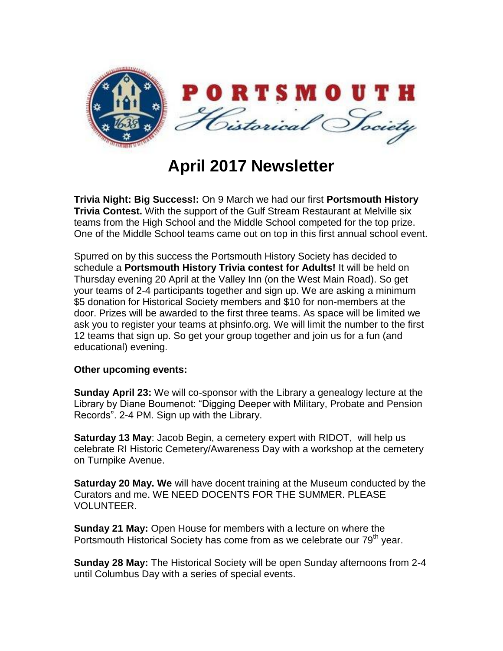

## **April 2017 Newsletter**

**Trivia Night: Big Success!:** On 9 March we had our first **Portsmouth History Trivia Contest.** With the support of the Gulf Stream Restaurant at Melville six teams from the High School and the Middle School competed for the top prize. One of the Middle School teams came out on top in this first annual school event.

Spurred on by this success the Portsmouth History Society has decided to schedule a **Portsmouth History Trivia contest for Adults!** It will be held on Thursday evening 20 April at the Valley Inn (on the West Main Road). So get your teams of 2-4 participants together and sign up. We are asking a minimum \$5 donation for Historical Society members and \$10 for non-members at the door. Prizes will be awarded to the first three teams. As space will be limited we ask you to register your teams at phsinfo.org. We will limit the number to the first 12 teams that sign up. So get your group together and join us for a fun (and educational) evening.

## **Other upcoming events:**

**Sunday April 23:** We will co-sponsor with the Library a genealogy lecture at the Library by Diane Boumenot: "Digging Deeper with Military, Probate and Pension Records". 2-4 PM. Sign up with the Library.

**Saturday 13 May**: Jacob Begin, a cemetery expert with RIDOT, will help us celebrate RI Historic Cemetery/Awareness Day with a workshop at the cemetery on Turnpike Avenue.

**Saturday 20 May. We** will have docent training at the Museum conducted by the Curators and me. WE NEED DOCENTS FOR THE SUMMER. PLEASE VOLUNTEER.

**Sunday 21 May:** Open House for members with a lecture on where the Portsmouth Historical Society has come from as we celebrate our 79<sup>th</sup> year.

**Sunday 28 May:** The Historical Society will be open Sunday afternoons from 2-4 until Columbus Day with a series of special events.